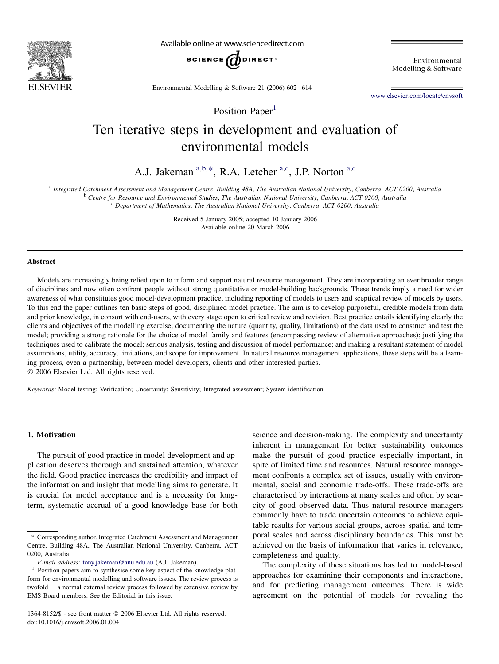

Available online at www.sciencedirect.com



Environmental Modelling & Software

Environmental Modelling & Software 21 (2006) 602-614

[www.elsevier.com/locate/envsoft](http://www.elsevier.com/locate/envsoft)

# Ten iterative steps in development and evaluation of environmental models

Position Paper<sup>1</sup>

A.J. Jakeman a,b,\*, R.A. Letcher a,c, J.P. Norton a,c

<sup>a</sup> Integrated Catchment Assessment and Management Centre, Building 48A, The Australian National University, Canberra, ACT 0200, Australia<br><sup>b</sup> Centre for Resource and Environmental Studies, The Australian National Univers

Received 5 January 2005; accepted 10 January 2006 Available online 20 March 2006

#### Abstract

Models are increasingly being relied upon to inform and support natural resource management. They are incorporating an ever broader range of disciplines and now often confront people without strong quantitative or model-building backgrounds. These trends imply a need for wider awareness of what constitutes good model-development practice, including reporting of models to users and sceptical review of models by users. To this end the paper outlines ten basic steps of good, disciplined model practice. The aim is to develop purposeful, credible models from data and prior knowledge, in consort with end-users, with every stage open to critical review and revision. Best practice entails identifying clearly the clients and objectives of the modelling exercise; documenting the nature (quantity, quality, limitations) of the data used to construct and test the model; providing a strong rationale for the choice of model family and features (encompassing review of alternative approaches); justifying the techniques used to calibrate the model; serious analysis, testing and discussion of model performance; and making a resultant statement of model assumptions, utility, accuracy, limitations, and scope for improvement. In natural resource management applications, these steps will be a learning process, even a partnership, between model developers, clients and other interested parties. 2006 Elsevier Ltd. All rights reserved.

Keywords: Model testing; Verification; Uncertainty; Sensitivity; Integrated assessment; System identification

## 1. Motivation

The pursuit of good practice in model development and application deserves thorough and sustained attention, whatever the field. Good practice increases the credibility and impact of the information and insight that modelling aims to generate. It is crucial for model acceptance and is a necessity for longterm, systematic accrual of a good knowledge base for both

science and decision-making. The complexity and uncertainty inherent in management for better sustainability outcomes make the pursuit of good practice especially important, in spite of limited time and resources. Natural resource management confronts a complex set of issues, usually with environmental, social and economic trade-offs. These trade-offs are characterised by interactions at many scales and often by scarcity of good observed data. Thus natural resource managers commonly have to trade uncertain outcomes to achieve equitable results for various social groups, across spatial and temporal scales and across disciplinary boundaries. This must be achieved on the basis of information that varies in relevance, completeness and quality.

The complexity of these situations has led to model-based approaches for examining their components and interactions, and for predicting management outcomes. There is wide agreement on the potential of models for revealing the

<sup>\*</sup> Corresponding author. Integrated Catchment Assessment and Management Centre, Building 48A, The Australian National University, Canberra, ACT 0200, Australia.

E-mail address: [tony.jakeman@anu.edu.au](mailto:tony.jakeman@anu.edu.au) (A.J. Jakeman). <sup>1</sup> Position papers aim to synthesise some key aspect of the knowledge platform for environmental modelling and software issues. The review process is  $twofold - a normal external review process followed by extensive review by$ EMS Board members. See the Editorial in this issue.

<sup>1364-8152/\$ -</sup> see front matter 2006 Elsevier Ltd. All rights reserved. doi:10.1016/j.envsoft.2006.01.004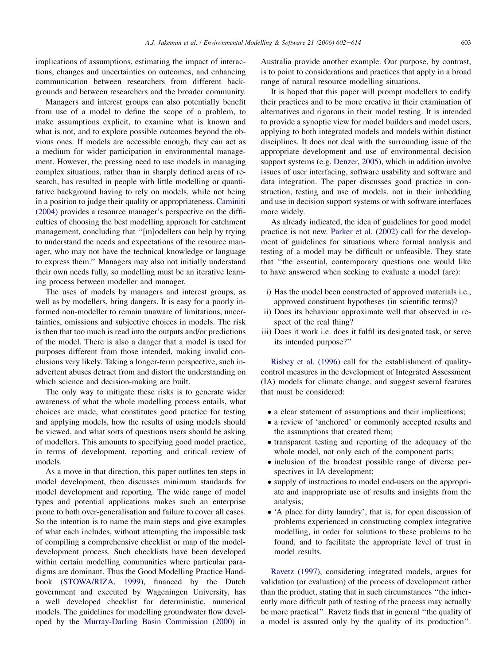implications of assumptions, estimating the impact of interactions, changes and uncertainties on outcomes, and enhancing communication between researchers from different backgrounds and between researchers and the broader community.

Managers and interest groups can also potentially benefit from use of a model to define the scope of a problem, to make assumptions explicit, to examine what is known and what is not, and to explore possible outcomes beyond the obvious ones. If models are accessible enough, they can act as a medium for wider participation in environmental management. However, the pressing need to use models in managing complex situations, rather than in sharply defined areas of research, has resulted in people with little modelling or quantitative background having to rely on models, while not being in a position to judge their quality or appropriateness. [Caminiti](#page-11-0) [\(2004\)](#page-11-0) provides a resource manager's perspective on the difficulties of choosing the best modelling approach for catchment management, concluding that ''[m]odellers can help by trying to understand the needs and expectations of the resource manager, who may not have the technical knowledge or language to express them.'' Managers may also not initially understand their own needs fully, so modelling must be an iterative learning process between modeller and manager.

The uses of models by managers and interest groups, as well as by modellers, bring dangers. It is easy for a poorly informed non-modeller to remain unaware of limitations, uncertainties, omissions and subjective choices in models. The risk is then that too much is read into the outputs and/or predictions of the model. There is also a danger that a model is used for purposes different from those intended, making invalid conclusions very likely. Taking a longer-term perspective, such inadvertent abuses detract from and distort the understanding on which science and decision-making are built.

The only way to mitigate these risks is to generate wider awareness of what the whole modelling process entails, what choices are made, what constitutes good practice for testing and applying models, how the results of using models should be viewed, and what sorts of questions users should be asking of modellers. This amounts to specifying good model practice, in terms of development, reporting and critical review of models.

As a move in that direction, this paper outlines ten steps in model development, then discusses minimum standards for model development and reporting. The wide range of model types and potential applications makes such an enterprise prone to both over-generalisation and failure to cover all cases. So the intention is to name the main steps and give examples of what each includes, without attempting the impossible task of compiling a comprehensive checklist or map of the modeldevelopment process. Such checklists have been developed within certain modelling communities where particular paradigms are dominant. Thus the Good Modelling Practice Handbook ([STOWA/RIZA, 1999\)](#page-12-0), financed by the Dutch government and executed by Wageningen University, has a well developed checklist for deterministic, numerical models. The guidelines for modelling groundwater flow developed by the [Murray-Darling Basin Commission \(2000\)](#page-12-0) in Australia provide another example. Our purpose, by contrast, is to point to considerations and practices that apply in a broad range of natural resource modelling situations.

It is hoped that this paper will prompt modellers to codify their practices and to be more creative in their examination of alternatives and rigorous in their model testing. It is intended to provide a synoptic view for model builders and model users, applying to both integrated models and models within distinct disciplines. It does not deal with the surrounding issue of the appropriate development and use of environmental decision support systems (e.g. [Denzer, 2005](#page-11-0)), which in addition involve issues of user interfacing, software usability and software and data integration. The paper discusses good practice in construction, testing and use of models, not in their imbedding and use in decision support systems or with software interfaces more widely.

As already indicated, the idea of guidelines for good model practice is not new. [Parker et al. \(2002\)](#page-12-0) call for the development of guidelines for situations where formal analysis and testing of a model may be difficult or unfeasible. They state that ''the essential, contemporary questions one would like to have answered when seeking to evaluate a model (are):

- i) Has the model been constructed of approved materials i.e., approved constituent hypotheses (in scientific terms)?
- ii) Does its behaviour approximate well that observed in respect of the real thing?
- iii) Does it work i.e. does it fulfil its designated task, or serve its intended purpose?''

[Risbey et al. \(1996\)](#page-12-0) call for the establishment of qualitycontrol measures in the development of Integrated Assessment (IA) models for climate change, and suggest several features that must be considered:

- a clear statement of assumptions and their implications;
- a review of 'anchored' or commonly accepted results and the assumptions that created them;
- transparent testing and reporting of the adequacy of the whole model, not only each of the component parts;
- inclusion of the broadest possible range of diverse perspectives in IA development;
- supply of instructions to model end-users on the appropriate and inappropriate use of results and insights from the analysis;
- 'A place for dirty laundry', that is, for open discussion of problems experienced in constructing complex integrative modelling, in order for solutions to these problems to be found, and to facilitate the appropriate level of trust in model results.

[Ravetz \(1997\)](#page-12-0), considering integrated models, argues for validation (or evaluation) of the process of development rather than the product, stating that in such circumstances ''the inherently more difficult path of testing of the process may actually be more practical''. Ravetz finds that in general ''the quality of a model is assured only by the quality of its production''.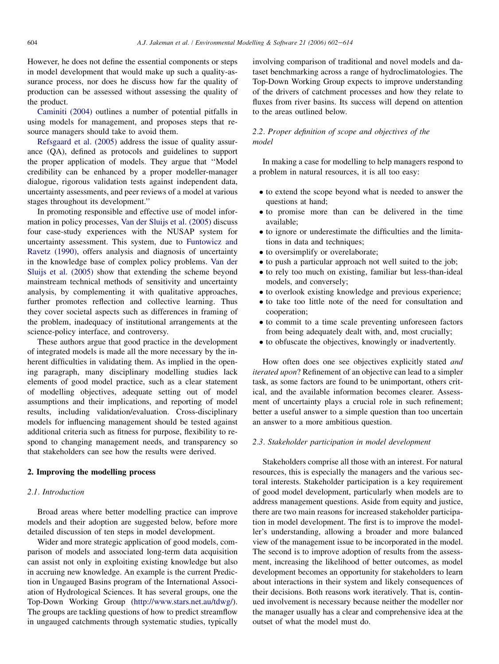However, he does not define the essential components or steps in model development that would make up such a quality-assurance process, nor does he discuss how far the quality of production can be assessed without assessing the quality of the product.

[Caminiti \(2004\)](#page-11-0) outlines a number of potential pitfalls in using models for management, and proposes steps that resource managers should take to avoid them.

[Refsgaard et al. \(2005\)](#page-12-0) address the issue of quality assurance (QA), defined as protocols and guidelines to support the proper application of models. They argue that ''Model credibility can be enhanced by a proper modeller-manager dialogue, rigorous validation tests against independent data, uncertainty assessments, and peer reviews of a model at various stages throughout its development.''

In promoting responsible and effective use of model information in policy processes, [Van der Sluijs et al. \(2005\)](#page-12-0) discuss four case-study experiences with the NUSAP system for uncertainty assessment. This system, due to [Funtowicz and](#page-11-0) [Ravetz \(1990\),](#page-11-0) offers analysis and diagnosis of uncertainty in the knowledge base of complex policy problems. [Van der](#page-12-0) [Sluijs et al. \(2005\)](#page-12-0) show that extending the scheme beyond mainstream technical methods of sensitivity and uncertainty analysis, by complementing it with qualitative approaches, further promotes reflection and collective learning. Thus they cover societal aspects such as differences in framing of the problem, inadequacy of institutional arrangements at the science-policy interface, and controversy.

These authors argue that good practice in the development of integrated models is made all the more necessary by the inherent difficulties in validating them. As implied in the opening paragraph, many disciplinary modelling studies lack elements of good model practice, such as a clear statement of modelling objectives, adequate setting out of model assumptions and their implications, and reporting of model results, including validation/evaluation. Cross-disciplinary models for influencing management should be tested against additional criteria such as fitness for purpose, flexibility to respond to changing management needs, and transparency so that stakeholders can see how the results were derived.

## 2. Improving the modelling process

## 2.1. Introduction

Broad areas where better modelling practice can improve models and their adoption are suggested below, before more detailed discussion of ten steps in model development.

Wider and more strategic application of good models, comparison of models and associated long-term data acquisition can assist not only in exploiting existing knowledge but also in accruing new knowledge. An example is the current Prediction in Ungauged Basins program of the International Association of Hydrological Sciences. It has several groups, one the Top-Down Working Group ([http://www.stars.net.au/tdwg/\)](http://www.stars.net.au/tdwg/). The groups are tackling questions of how to predict streamflow in ungauged catchments through systematic studies, typically

involving comparison of traditional and novel models and dataset benchmarking across a range of hydroclimatologies. The Top-Down Working Group expects to improve understanding of the drivers of catchment processes and how they relate to fluxes from river basins. Its success will depend on attention to the areas outlined below.

## 2.2. Proper definition of scope and objectives of the model

In making a case for modelling to help managers respond to a problem in natural resources, it is all too easy:

- to extend the scope beyond what is needed to answer the questions at hand;
- to promise more than can be delivered in the time available;
- to ignore or underestimate the difficulties and the limitations in data and techniques;
- to oversimplify or overelaborate;
- to push a particular approach not well suited to the job;
- to rely too much on existing, familiar but less-than-ideal models, and conversely;
- to overlook existing knowledge and previous experience;
- to take too little note of the need for consultation and cooperation;
- to commit to a time scale preventing unforeseen factors from being adequately dealt with, and, most crucially;
- to obfuscate the objectives, knowingly or inadvertently.

How often does one see objectives explicitly stated and iterated upon? Refinement of an objective can lead to a simpler task, as some factors are found to be unimportant, others critical, and the available information becomes clearer. Assessment of uncertainty plays a crucial role in such refinement; better a useful answer to a simple question than too uncertain an answer to a more ambitious question.

## 2.3. Stakeholder participation in model development

Stakeholders comprise all those with an interest. For natural resources, this is especially the managers and the various sectoral interests. Stakeholder participation is a key requirement of good model development, particularly when models are to address management questions. Aside from equity and justice, there are two main reasons for increased stakeholder participation in model development. The first is to improve the modeller's understanding, allowing a broader and more balanced view of the management issue to be incorporated in the model. The second is to improve adoption of results from the assessment, increasing the likelihood of better outcomes, as model development becomes an opportunity for stakeholders to learn about interactions in their system and likely consequences of their decisions. Both reasons work iteratively. That is, continued involvement is necessary because neither the modeller nor the manager usually has a clear and comprehensive idea at the outset of what the model must do.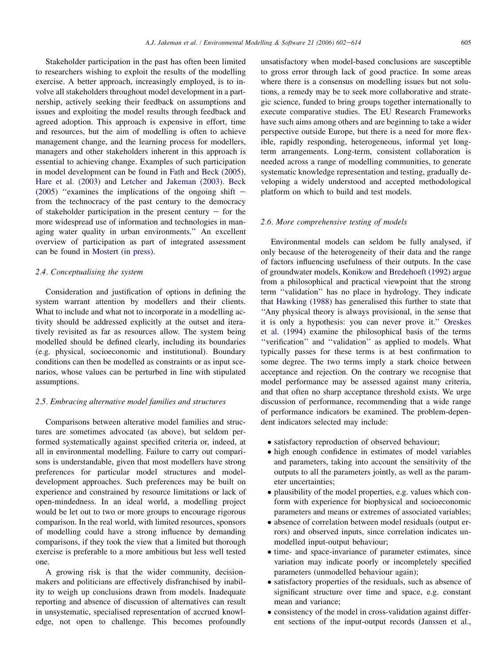Stakeholder participation in the past has often been limited to researchers wishing to exploit the results of the modelling exercise. A better approach, increasingly employed, is to involve all stakeholders throughout model development in a partnership, actively seeking their feedback on assumptions and issues and exploiting the model results through feedback and agreed adoption. This approach is expensive in effort, time and resources, but the aim of modelling is often to achieve management change, and the learning process for modellers, managers and other stakeholders inherent in this approach is essential to achieving change. Examples of such participation in model development can be found in [Fath and Beck \(2005\),](#page-11-0) [Hare et al. \(2003\)](#page-11-0) and [Letcher and Jakeman \(2003\).](#page-11-0) [Beck](#page-11-0) [\(2005\)](#page-11-0) "examines the implications of the ongoing shift  $$ from the technocracy of the past century to the democracy of stakeholder participation in the present century  $-$  for the more widespread use of information and technologies in managing water quality in urban environments.'' An excellent overview of participation as part of integrated assessment can be found in [Mostert \(in press\).](#page-11-0)

## 2.4. Conceptualising the system

Consideration and justification of options in defining the system warrant attention by modellers and their clients. What to include and what not to incorporate in a modelling activity should be addressed explicitly at the outset and iteratively revisited as far as resources allow. The system being modelled should be defined clearly, including its boundaries (e.g. physical, socioeconomic and institutional). Boundary conditions can then be modelled as constraints or as input scenarios, whose values can be perturbed in line with stipulated assumptions.

#### 2.5. Embracing alternative model families and structures

Comparisons between alterative model families and structures are sometimes advocated (as above), but seldom performed systematically against specified criteria or, indeed, at all in environmental modelling. Failure to carry out comparisons is understandable, given that most modellers have strong preferences for particular model structures and modeldevelopment approaches. Such preferences may be built on experience and constrained by resource limitations or lack of open-mindedness. In an ideal world, a modelling project would be let out to two or more groups to encourage rigorous comparison. In the real world, with limited resources, sponsors of modelling could have a strong influence by demanding comparisons, if they took the view that a limited but thorough exercise is preferable to a more ambitious but less well tested one.

A growing risk is that the wider community, decisionmakers and politicians are effectively disfranchised by inability to weigh up conclusions drawn from models. Inadequate reporting and absence of discussion of alternatives can result in unsystematic, specialised representation of accrued knowledge, not open to challenge. This becomes profoundly unsatisfactory when model-based conclusions are susceptible to gross error through lack of good practice. In some areas where there is a consensus on modelling issues but not solutions, a remedy may be to seek more collaborative and strategic science, funded to bring groups together internationally to execute comparative studies. The EU Research Frameworks have such aims among others and are beginning to take a wider perspective outside Europe, but there is a need for more flexible, rapidly responding, heterogeneous, informal yet longterm arrangements. Long-term, consistent collaboration is needed across a range of modelling communities, to generate systematic knowledge representation and testing, gradually developing a widely understood and accepted methodological platform on which to build and test models.

## 2.6. More comprehensive testing of models

Environmental models can seldom be fully analysed, if only because of the heterogeneity of their data and the range of factors influencing usefulness of their outputs. In the case of groundwater models, [Konikow and Bredehoeft \(1992\)](#page-11-0) argue from a philosophical and practical viewpoint that the strong term ''validation'' has no place in hydrology. They indicate that [Hawking \(1988\)](#page-11-0) has generalised this further to state that ''Any physical theory is always provisional, in the sense that it is only a hypothesis: you can never prove it.'' [Oreskes](#page-12-0) [et al. \(1994\)](#page-12-0) examine the philosophical basis of the terms ''verification'' and ''validation'' as applied to models. What typically passes for these terms is at best confirmation to some degree. The two terms imply a stark choice between acceptance and rejection. On the contrary we recognise that model performance may be assessed against many criteria, and that often no sharp acceptance threshold exists. We urge discussion of performance, recommending that a wide range of performance indicators be examined. The problem-dependent indicators selected may include:

- satisfactory reproduction of observed behaviour;
- high enough confidence in estimates of model variables and parameters, taking into account the sensitivity of the outputs to all the parameters jointly, as well as the parameter uncertainties;
- plausibility of the model properties, e.g. values which conform with experience for biophysical and socioeconomic parameters and means or extremes of associated variables;
- absence of correlation between model residuals (output errors) and observed inputs, since correlation indicates unmodelled input-output behaviour;
- time- and space-invariance of parameter estimates, since variation may indicate poorly or incompletely specified parameters (unmodelled behaviour again);
- satisfactory properties of the residuals, such as absence of significant structure over time and space, e.g. constant mean and variance;
- consistency of the model in cross-validation against different sections of the input-output records [\(Janssen et al.,](#page-11-0)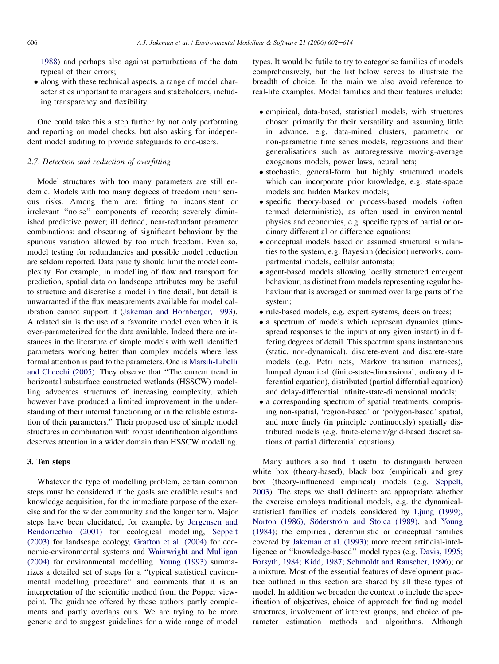[1988\)](#page-11-0) and perhaps also against perturbations of the data typical of their errors;

• along with these technical aspects, a range of model characteristics important to managers and stakeholders, including transparency and flexibility.

One could take this a step further by not only performing and reporting on model checks, but also asking for independent model auditing to provide safeguards to end-users.

## 2.7. Detection and reduction of overfitting

Model structures with too many parameters are still endemic. Models with too many degrees of freedom incur serious risks. Among them are: fitting to inconsistent or irrelevant ''noise'' components of records; severely diminished predictive power; ill defined, near-redundant parameter combinations; and obscuring of significant behaviour by the spurious variation allowed by too much freedom. Even so, model testing for redundancies and possible model reduction are seldom reported. Data paucity should limit the model complexity. For example, in modelling of flow and transport for prediction, spatial data on landscape attributes may be useful to structure and discretise a model in fine detail, but detail is unwarranted if the flux measurements available for model calibration cannot support it [\(Jakeman and Hornberger, 1993\)](#page-11-0). A related sin is the use of a favourite model even when it is over-parameterized for the data available. Indeed there are instances in the literature of simple models with well identified parameters working better than complex models where less formal attention is paid to the parameters. One is [Marsili-Libelli](#page-11-0) [and Checchi \(2005\)](#page-11-0). They observe that ''The current trend in horizontal subsurface constructed wetlands (HSSCW) modelling advocates structures of increasing complexity, which however have produced a limited improvement in the understanding of their internal functioning or in the reliable estimation of their parameters.'' Their proposed use of simple model structures in combination with robust identification algorithms deserves attention in a wider domain than HSSCW modelling.

## 3. Ten steps

Whatever the type of modelling problem, certain common steps must be considered if the goals are credible results and knowledge acquisition, for the immediate purpose of the exercise and for the wider community and the longer term. Major steps have been elucidated, for example, by [Jorgensen and](#page-11-0) [Bendoricchio \(2001\)](#page-11-0) for ecological modelling, [Seppelt](#page-12-0) [\(2003\)](#page-12-0) for landscape ecology, [Grafton et al. \(2004\)](#page-11-0) for economic-environmental systems and [Wainwright and Mulligan](#page-12-0) [\(2004\)](#page-12-0) for environmental modelling. [Young \(1993\)](#page-12-0) summarizes a detailed set of steps for a ''typical statistical environmental modelling procedure'' and comments that it is an interpretation of the scientific method from the Popper viewpoint. The guidance offered by these authors partly complements and partly overlaps ours. We are trying to be more generic and to suggest guidelines for a wide range of model types. It would be futile to try to categorise families of models comprehensively, but the list below serves to illustrate the breadth of choice. In the main we also avoid reference to real-life examples. Model families and their features include:

- empirical, data-based, statistical models, with structures chosen primarily for their versatility and assuming little in advance, e.g. data-mined clusters, parametric or non-parametric time series models, regressions and their generalisations such as autoregressive moving-average exogenous models, power laws, neural nets;
- stochastic, general-form but highly structured models which can incorporate prior knowledge, e.g. state-space models and hidden Markov models;
- specific theory-based or process-based models (often termed deterministic), as often used in environmental physics and economics, e.g. specific types of partial or ordinary differential or difference equations;
- conceptual models based on assumed structural similarities to the system, e.g. Bayesian (decision) networks, compartmental models, cellular automata;
- agent-based models allowing locally structured emergent behaviour, as distinct from models representing regular behaviour that is averaged or summed over large parts of the system;
- rule-based models, e.g. expert systems, decision trees;
- a spectrum of models which represent dynamics (timespread responses to the inputs at any given instant) in differing degrees of detail. This spectrum spans instantaneous (static, non-dynamical), discrete-event and discrete-state models (e.g. Petri nets, Markov transition matrices), lumped dynamical (finite-state-dimensional, ordinary differential equation), distributed (partial differntial equation) and delay-differential infinite-state-dimensional models;
- a corresponding spectrum of spatial treatments, comprising non-spatial, 'region-based' or 'polygon-based' spatial, and more finely (in principle continuously) spatially distributed models (e.g. finite-element/grid-based discretisations of partial differential equations).

Many authors also find it useful to distinguish between white box (theory-based), black box (empirical) and grey box (theory-influenced empirical) models (e.g. [Seppelt,](#page-12-0) [2003\)](#page-12-0). The steps we shall delineate are appropriate whether the exercise employs traditional models, e.g. the dynamicalstatistical families of models considered by [Ljung \(1999\),](#page-11-0) Norton (1986), Söderström and Stoica (1989), and [Young](#page-12-0) [\(1984\)](#page-12-0); the empirical, deterministic or conceptual families covered by [Jakeman et al. \(1993\)](#page-11-0); more recent artificial-intelligence or ''knowledge-based'' model types (e.g. [Davis, 1995;](#page-11-0) [Forsyth, 1984; Kidd, 1987; Schmoldt and Rauscher, 1996](#page-11-0)); or a mixture. Most of the essential features of development practice outlined in this section are shared by all these types of model. In addition we broaden the context to include the specification of objectives, choice of approach for finding model structures, involvement of interest groups, and choice of parameter estimation methods and algorithms. Although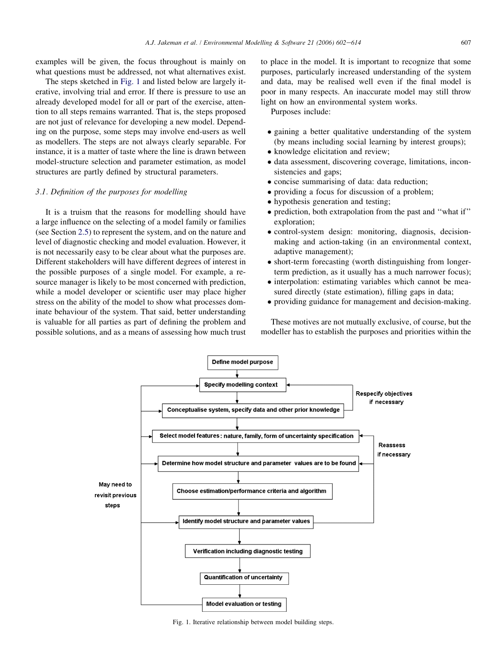examples will be given, the focus throughout is mainly on what questions must be addressed, not what alternatives exist.

The steps sketched in Fig. 1 and listed below are largely iterative, involving trial and error. If there is pressure to use an already developed model for all or part of the exercise, attention to all steps remains warranted. That is, the steps proposed are not just of relevance for developing a new model. Depending on the purpose, some steps may involve end-users as well as modellers. The steps are not always clearly separable. For instance, it is a matter of taste where the line is drawn between model-structure selection and parameter estimation, as model structures are partly defined by structural parameters.

## 3.1. Definition of the purposes for modelling

It is a truism that the reasons for modelling should have a large influence on the selecting of a model family or families (see Section 2.5) to represent the system, and on the nature and level of diagnostic checking and model evaluation. However, it is not necessarily easy to be clear about what the purposes are. Different stakeholders will have different degrees of interest in the possible purposes of a single model. For example, a resource manager is likely to be most concerned with prediction, while a model developer or scientific user may place higher stress on the ability of the model to show what processes dominate behaviour of the system. That said, better understanding is valuable for all parties as part of defining the problem and possible solutions, and as a means of assessing how much trust

to place in the model. It is important to recognize that some purposes, particularly increased understanding of the system and data, may be realised well even if the final model is poor in many respects. An inaccurate model may still throw light on how an environmental system works.

Purposes include:

- gaining a better qualitative understanding of the system (by means including social learning by interest groups);
- knowledge elicitation and review:
- data assessment, discovering coverage, limitations, inconsistencies and gaps;
- concise summarising of data: data reduction;
- providing a focus for discussion of a problem;
- hypothesis generation and testing;
- prediction, both extrapolation from the past and ''what if'' exploration;
- control-system design: monitoring, diagnosis, decisionmaking and action-taking (in an environmental context, adaptive management);
- short-term forecasting (worth distinguishing from longerterm prediction, as it usually has a much narrower focus);
- interpolation: estimating variables which cannot be measured directly (state estimation), filling gaps in data;
- providing guidance for management and decision-making.

These motives are not mutually exclusive, of course, but the modeller has to establish the purposes and priorities within the



Fig. 1. Iterative relationship between model building steps.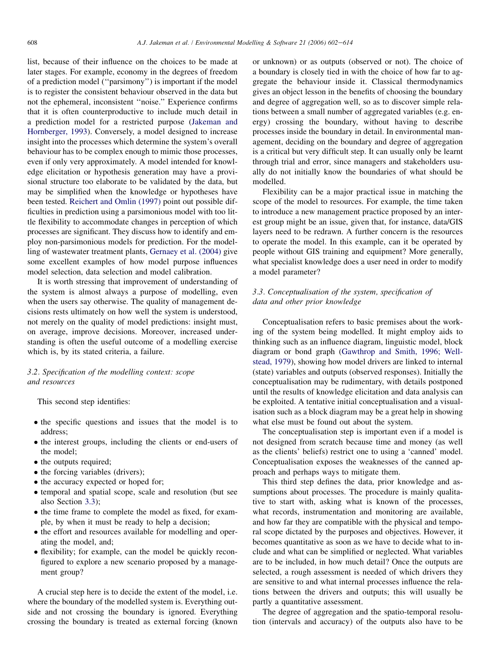list, because of their influence on the choices to be made at later stages. For example, economy in the degrees of freedom of a prediction model (''parsimony'') is important if the model is to register the consistent behaviour observed in the data but not the ephemeral, inconsistent ''noise.'' Experience confirms that it is often counterproductive to include much detail in a prediction model for a restricted purpose ([Jakeman and](#page-11-0) [Hornberger, 1993](#page-11-0)). Conversely, a model designed to increase insight into the processes which determine the system's overall behaviour has to be complex enough to mimic those processes, even if only very approximately. A model intended for knowledge elicitation or hypothesis generation may have a provisional structure too elaborate to be validated by the data, but may be simplified when the knowledge or hypotheses have been tested. [Reichert and Omlin \(1997\)](#page-12-0) point out possible difficulties in prediction using a parsimonious model with too little flexibility to accommodate changes in perception of which processes are significant. They discuss how to identify and employ non-parsimonious models for prediction. For the modelling of wastewater treatment plants, [Gernaey et al. \(2004\)](#page-11-0) give some excellent examples of how model purpose influences model selection, data selection and model calibration.

It is worth stressing that improvement of understanding of the system is almost always a purpose of modelling, even when the users say otherwise. The quality of management decisions rests ultimately on how well the system is understood, not merely on the quality of model predictions: insight must, on average, improve decisions. Moreover, increased understanding is often the useful outcome of a modelling exercise which is, by its stated criteria, a failure.

# 3.2. Specification of the modelling context: scope and resources

This second step identifies:

- the specific questions and issues that the model is to address;
- the interest groups, including the clients or end-users of the model;
- the outputs required;
- the forcing variables (drivers);
- the accuracy expected or hoped for;
- temporal and spatial scope, scale and resolution (but see also Section 3.3);
- $\bullet$  the time frame to complete the model as fixed, for example, by when it must be ready to help a decision;
- $\bullet$  the effort and resources available for modelling and operating the model, and;
- flexibility; for example, can the model be quickly reconfigured to explore a new scenario proposed by a management group?

A crucial step here is to decide the extent of the model, i.e. where the boundary of the modelled system is. Everything outside and not crossing the boundary is ignored. Everything crossing the boundary is treated as external forcing (known or unknown) or as outputs (observed or not). The choice of a boundary is closely tied in with the choice of how far to aggregate the behaviour inside it. Classical thermodynamics gives an object lesson in the benefits of choosing the boundary and degree of aggregation well, so as to discover simple relations between a small number of aggregated variables (e.g. energy) crossing the boundary, without having to describe processes inside the boundary in detail. In environmental management, deciding on the boundary and degree of aggregation is a critical but very difficult step. It can usually only be learnt through trial and error, since managers and stakeholders usually do not initially know the boundaries of what should be modelled.

Flexibility can be a major practical issue in matching the scope of the model to resources. For example, the time taken to introduce a new management practice proposed by an interest group might be an issue, given that, for instance, data/GIS layers need to be redrawn. A further concern is the resources to operate the model. In this example, can it be operated by people without GIS training and equipment? More generally, what specialist knowledge does a user need in order to modify a model parameter?

# 3.3. Conceptualisation of the system, specification of data and other prior knowledge

Conceptualisation refers to basic premises about the working of the system being modelled. It might employ aids to thinking such as an influence diagram, linguistic model, block diagram or bond graph [\(Gawthrop and Smith, 1996; Well](#page-11-0)[stead, 1979](#page-11-0)), showing how model drivers are linked to internal (state) variables and outputs (observed responses). Initially the conceptualisation may be rudimentary, with details postponed until the results of knowledge elicitation and data analysis can be exploited. A tentative initial conceptualisation and a visualisation such as a block diagram may be a great help in showing what else must be found out about the system.

The conceptualisation step is important even if a model is not designed from scratch because time and money (as well as the clients' beliefs) restrict one to using a 'canned' model. Conceptualisation exposes the weaknesses of the canned approach and perhaps ways to mitigate them.

This third step defines the data, prior knowledge and assumptions about processes. The procedure is mainly qualitative to start with, asking what is known of the processes, what records, instrumentation and monitoring are available, and how far they are compatible with the physical and temporal scope dictated by the purposes and objectives. However, it becomes quantitative as soon as we have to decide what to include and what can be simplified or neglected. What variables are to be included, in how much detail? Once the outputs are selected, a rough assessment is needed of which drivers they are sensitive to and what internal processes influence the relations between the drivers and outputs; this will usually be partly a quantitative assessment.

The degree of aggregation and the spatio-temporal resolution (intervals and accuracy) of the outputs also have to be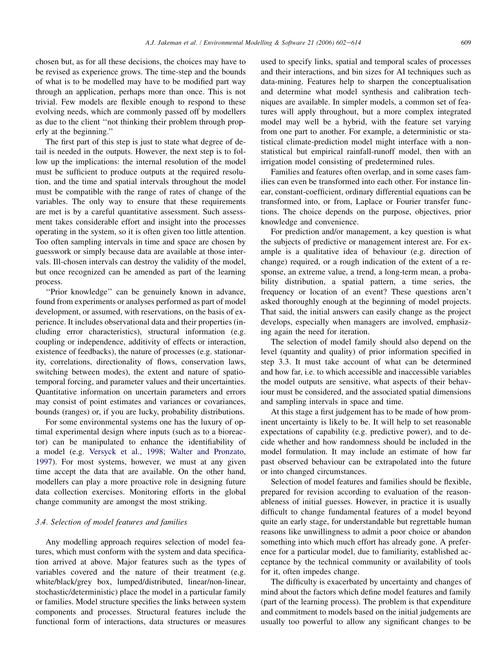chosen but, as for all these decisions, the choices may have to be revised as experience grows. The time-step and the bounds of what is to be modelled may have to be modified part way through an application, perhaps more than once. This is not trivial. Few models are flexible enough to respond to these evolving needs, which are commonly passed off by modellers as due to the client ''not thinking their problem through properly at the beginning.''

The first part of this step is just to state what degree of detail is needed in the outputs. However, the next step is to follow up the implications: the internal resolution of the model must be sufficient to produce outputs at the required resolution, and the time and spatial intervals throughout the model must be compatible with the range of rates of change of the variables. The only way to ensure that these requirements are met is by a careful quantitative assessment. Such assessment takes considerable effort and insight into the processes operating in the system, so it is often given too little attention. Too often sampling intervals in time and space are chosen by guesswork or simply because data are available at those intervals. Ill-chosen intervals can destroy the validity of the model, but once recognized can be amended as part of the learning process.

"Prior knowledge" can be genuinely known in advance, found from experiments or analyses performed as part of model development, or assumed, with reservations, on the basis of experience. It includes observational data and their properties (including error characteristics), structural information (e.g. coupling or independence, additivity of effects or interaction, existence of feedbacks), the nature of processes (e.g. stationarity, correlations, directionality of flows, conservation laws, switching between modes), the extent and nature of spatiotemporal forcing, and parameter values and their uncertainties. Quantitative information on uncertain parameters and errors may consist of point estimates and variances or covariances, bounds (ranges) or, if you are lucky, probability distributions.

For some environmental systems one has the luxury of optimal experimental design where inputs (such as to a bioreactor) can be manipulated to enhance the identifiability of a model (e.g. [Versyck et al., 1998; Walter and Pronzato,](#page-12-0) [1997](#page-12-0)). For most systems, however, we must at any given time accept the data that are available. On the other hand, modellers can play a more proactive role in designing future data collection exercises. Monitoring efforts in the global change community are amongst the most striking.

## 3.4. Selection of model features and families

Any modelling approach requires selection of model features, which must conform with the system and data specification arrived at above. Major features such as the types of variables covered and the nature of their treatment (e.g. white/black/grey box, lumped/distributed, linear/non-linear, stochastic/deterministic) place the model in a particular family or families. Model structure specifies the links between system components and processes. Structural features include the functional form of interactions, data structures or measures

used to specify links, spatial and temporal scales of processes and their interactions, and bin sizes for AI techniques such as data-mining. Features help to sharpen the conceptualisation and determine what model synthesis and calibration techniques are available. In simpler models, a common set of features will apply throughout, but a more complex integrated model may well be a hybrid, with the feature set varying from one part to another. For example, a deterministic or statistical climate-prediction model might interface with a nonstatistical but empirical rainfall-runoff model, then with an irrigation model consisting of predetermined rules.

Families and features often overlap, and in some cases families can even be transformed into each other. For instance linear, constant-coefficient, ordinary differential equations can be transformed into, or from, Laplace or Fourier transfer functions. The choice depends on the purpose, objectives, prior knowledge and convenience.

For prediction and/or management, a key question is what the subjects of predictive or management interest are. For example is a qualitative idea of behaviour (e.g. direction of change) required, or a rough indication of the extent of a response, an extreme value, a trend, a long-term mean, a probability distribution, a spatial pattern, a time series, the frequency or location of an event? These questions aren't asked thoroughly enough at the beginning of model projects. That said, the initial answers can easily change as the project develops, especially when managers are involved, emphasizing again the need for iteration.

The selection of model family should also depend on the level (quantity and quality) of prior information specified in step 3.3. It must take account of what can be determined and how far, i.e. to which accessible and inaccessible variables the model outputs are sensitive, what aspects of their behaviour must be considered, and the associated spatial dimensions and sampling intervals in space and time.

At this stage a first judgement has to be made of how prominent uncertainty is likely to be. It will help to set reasonable expectations of capability (e.g. predictive power), and to decide whether and how randomness should be included in the model formulation. It may include an estimate of how far past observed behaviour can be extrapolated into the future or into changed circumstances.

Selection of model features and families should be flexible, prepared for revision according to evaluation of the reasonableness of initial guesses. However, in practice it is usually difficult to change fundamental features of a model beyond quite an early stage, for understandable but regrettable human reasons like unwillingness to admit a poor choice or abandon something into which much effort has already gone. A preference for a particular model, due to familiarity, established acceptance by the technical community or availability of tools for it, often impedes change.

The difficulty is exacerbated by uncertainty and changes of mind about the factors which define model features and family (part of the learning process). The problem is that expenditure and commitment to models based on the initial judgements are usually too powerful to allow any significant changes to be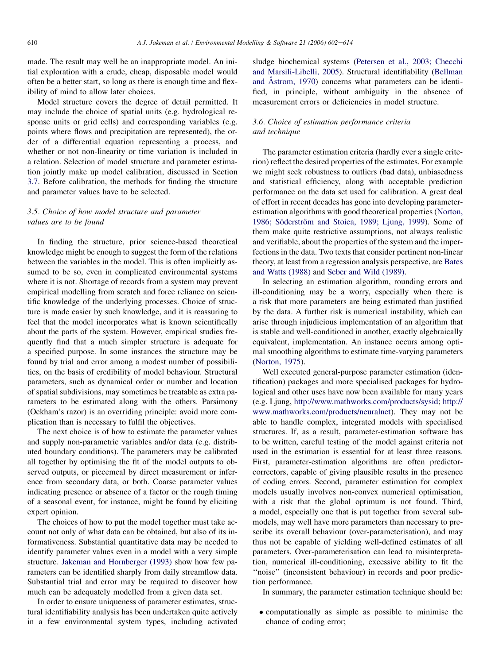made. The result may well be an inappropriate model. An initial exploration with a crude, cheap, disposable model would often be a better start, so long as there is enough time and flexibility of mind to allow later choices.

Model structure covers the degree of detail permitted. It may include the choice of spatial units (e.g. hydrological response units or grid cells) and corresponding variables (e.g. points where flows and precipitation are represented), the order of a differential equation representing a process, and whether or not non-linearity or time variation is included in a relation. Selection of model structure and parameter estimation jointly make up model calibration, discussed in Section 3.7. Before calibration, the methods for finding the structure and parameter values have to be selected.

# 3.5. Choice of how model structure and parameter values are to be found

In finding the structure, prior science-based theoretical knowledge might be enough to suggest the form of the relations between the variables in the model. This is often implicitly assumed to be so, even in complicated environmental systems where it is not. Shortage of records from a system may prevent empirical modelling from scratch and force reliance on scientific knowledge of the underlying processes. Choice of structure is made easier by such knowledge, and it is reassuring to feel that the model incorporates what is known scientifically about the parts of the system. However, empirical studies frequently find that a much simpler structure is adequate for a specified purpose. In some instances the structure may be found by trial and error among a modest number of possibilities, on the basis of credibility of model behaviour. Structural parameters, such as dynamical order or number and location of spatial subdivisions, may sometimes be treatable as extra parameters to be estimated along with the others. Parsimony (Ockham's razor) is an overriding principle: avoid more complication than is necessary to fulfil the objectives.

The next choice is of how to estimate the parameter values and supply non-parametric variables and/or data (e.g. distributed boundary conditions). The parameters may be calibrated all together by optimising the fit of the model outputs to observed outputs, or piecemeal by direct measurement or inference from secondary data, or both. Coarse parameter values indicating presence or absence of a factor or the rough timing of a seasonal event, for instance, might be found by eliciting expert opinion.

The choices of how to put the model together must take account not only of what data can be obtained, but also of its informativeness. Substantial quantitative data may be needed to identify parameter values even in a model with a very simple structure. [Jakeman and Hornberger \(1993\)](#page-11-0) show how few parameters can be identified sharply from daily streamflow data. Substantial trial and error may be required to discover how much can be adequately modelled from a given data set.

In order to ensure uniqueness of parameter estimates, structural identifiability analysis has been undertaken quite actively in a few environmental system types, including activated sludge biochemical systems [\(Petersen et al., 2003; Checchi](#page-12-0) [and Marsili-Libelli, 2005](#page-12-0)). Structural identifiability ([Bellman](#page-11-0) and Åstrom, 1970) concerns what parameters can be identified, in principle, without ambiguity in the absence of measurement errors or deficiencies in model structure.

# 3.6. Choice of estimation performance criteria and technique

The parameter estimation criteria (hardly ever a single criterion) reflect the desired properties of the estimates. For example we might seek robustness to outliers (bad data), unbiasedness and statistical efficiency, along with acceptable prediction performance on the data set used for calibration. A great deal of effort in recent decades has gone into developing parameterestimation algorithms with good theoretical properties ([Norton,](#page-12-0) 1986; Söderström and Stoica, 1989; Ljung, 1999). Some of them make quite restrictive assumptions, not always realistic and verifiable, about the properties of the system and the imperfections in the data. Two texts that consider pertinent non-linear theory, at least from a regression analysis perspective, are [Bates](#page-11-0) [and Watts \(1988\)](#page-11-0) and [Seber and Wild \(1989\)](#page-12-0).

In selecting an estimation algorithm, rounding errors and ill-conditioning may be a worry, especially when there is a risk that more parameters are being estimated than justified by the data. A further risk is numerical instability, which can arise through injudicious implementation of an algorithm that is stable and well-conditioned in another, exactly algebraically equivalent, implementation. An instance occurs among optimal smoothing algorithms to estimate time-varying parameters [\(Norton, 1975](#page-12-0)).

Well executed general-purpose parameter estimation (identification) packages and more specialised packages for hydrological and other uses have now been available for many years (e.g. Ljung, <http://www.mathworks.com/products/sysid>; [http://](http://www.mathworks.com/products/neuralnet) [www.mathworks.com/products/neuralnet\)](http://www.mathworks.com/products/neuralnet). They may not be able to handle complex, integrated models with specialised structures. If, as a result, parameter-estimation software has to be written, careful testing of the model against criteria not used in the estimation is essential for at least three reasons. First, parameter-estimation algorithms are often predictorcorrectors, capable of giving plausible results in the presence of coding errors. Second, parameter estimation for complex models usually involves non-convex numerical optimisation, with a risk that the global optimum is not found. Third, a model, especially one that is put together from several submodels, may well have more parameters than necessary to prescribe its overall behaviour (over-parameterisation), and may thus not be capable of yielding well-defined estimates of all parameters. Over-parameterisation can lead to misinterpretation, numerical ill-conditioning, excessive ability to fit the "noise" (inconsistent behaviour) in records and poor prediction performance.

In summary, the parameter estimation technique should be:

 computationally as simple as possible to minimise the chance of coding error;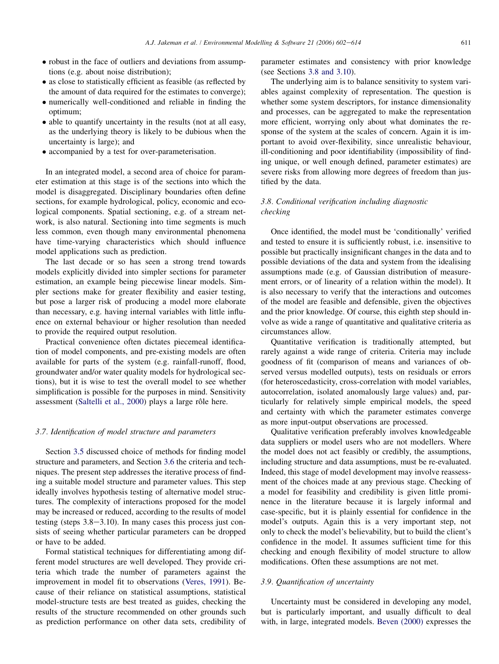- robust in the face of outliers and deviations from assumptions (e.g. about noise distribution);
- as close to statistically efficient as feasible (as reflected by the amount of data required for the estimates to converge);
- numerically well-conditioned and reliable in finding the optimum;
- able to quantify uncertainty in the results (not at all easy, as the underlying theory is likely to be dubious when the uncertainty is large); and
- accompanied by a test for over-parameterisation.

In an integrated model, a second area of choice for parameter estimation at this stage is of the sections into which the model is disaggregated. Disciplinary boundaries often define sections, for example hydrological, policy, economic and ecological components. Spatial sectioning, e.g. of a stream network, is also natural. Sectioning into time segments is much less common, even though many environmental phenomena have time-varying characteristics which should influence model applications such as prediction.

The last decade or so has seen a strong trend towards models explicitly divided into simpler sections for parameter estimation, an example being piecewise linear models. Simpler sections make for greater flexibility and easier testing, but pose a larger risk of producing a model more elaborate than necessary, e.g. having internal variables with little influence on external behaviour or higher resolution than needed to provide the required output resolution.

Practical convenience often dictates piecemeal identification of model components, and pre-existing models are often available for parts of the system (e.g. rainfall-runoff, flood, groundwater and/or water quality models for hydrological sections), but it is wise to test the overall model to see whether simplification is possible for the purposes in mind. Sensitivity assessment ([Saltelli et al., 2000\)](#page-12-0) plays a large rôle here.

## 3.7. Identification of model structure and parameters

Section 3.5 discussed choice of methods for finding model structure and parameters, and Section 3.6 the criteria and techniques. The present step addresses the iterative process of finding a suitable model structure and parameter values. This step ideally involves hypothesis testing of alternative model structures. The complexity of interactions proposed for the model may be increased or reduced, according to the results of model testing (steps  $3.8-3.10$ ). In many cases this process just consists of seeing whether particular parameters can be dropped or have to be added.

Formal statistical techniques for differentiating among different model structures are well developed. They provide criteria which trade the number of parameters against the improvement in model fit to observations [\(Veres, 1991\)](#page-12-0). Because of their reliance on statistical assumptions, statistical model-structure tests are best treated as guides, checking the results of the structure recommended on other grounds such as prediction performance on other data sets, credibility of parameter estimates and consistency with prior knowledge (see Sections 3.8 and 3.10).

The underlying aim is to balance sensitivity to system variables against complexity of representation. The question is whether some system descriptors, for instance dimensionality and processes, can be aggregated to make the representation more efficient, worrying only about what dominates the response of the system at the scales of concern. Again it is important to avoid over-flexibility, since unrealistic behaviour, ill-conditioning and poor identifiability (impossibility of finding unique, or well enough defined, parameter estimates) are severe risks from allowing more degrees of freedom than justified by the data.

# 3.8. Conditional verification including diagnostic checking

Once identified, the model must be 'conditionally' verified and tested to ensure it is sufficiently robust, i.e. insensitive to possible but practically insignificant changes in the data and to possible deviations of the data and system from the idealising assumptions made (e.g. of Gaussian distribution of measurement errors, or of linearity of a relation within the model). It is also necessary to verify that the interactions and outcomes of the model are feasible and defensible, given the objectives and the prior knowledge. Of course, this eighth step should involve as wide a range of quantitative and qualitative criteria as circumstances allow.

Quantitative verification is traditionally attempted, but rarely against a wide range of criteria. Criteria may include goodness of fit (comparison of means and variances of observed versus modelled outputs), tests on residuals or errors (for heteroscedasticity, cross-correlation with model variables, autocorrelation, isolated anomalously large values) and, particularly for relatively simple empirical models, the speed and certainty with which the parameter estimates converge as more input-output observations are processed.

Qualitative verification preferably involves knowledgeable data suppliers or model users who are not modellers. Where the model does not act feasibly or credibly, the assumptions, including structure and data assumptions, must be re-evaluated. Indeed, this stage of model development may involve reassessment of the choices made at any previous stage. Checking of a model for feasibility and credibility is given little prominence in the literature because it is largely informal and case-specific, but it is plainly essential for confidence in the model's outputs. Again this is a very important step, not only to check the model's believability, but to build the client's confidence in the model. It assumes sufficient time for this checking and enough flexibility of model structure to allow modifications. Often these assumptions are not met.

#### 3.9. Quantification of uncertainty

Uncertainty must be considered in developing any model, but is particularly important, and usually difficult to deal with, in large, integrated models. [Beven \(2000\)](#page-11-0) expresses the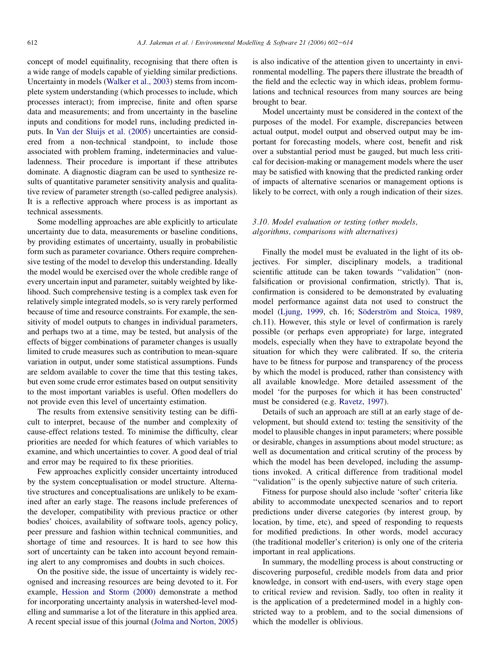concept of model equifinality, recognising that there often is a wide range of models capable of yielding similar predictions. Uncertainty in models [\(Walker et al., 2003\)](#page-12-0) stems from incomplete system understanding (which processes to include, which processes interact); from imprecise, finite and often sparse data and measurements; and from uncertainty in the baseline inputs and conditions for model runs, including predicted inputs. In [Van der Sluijs et al. \(2005\)](#page-12-0) uncertainties are considered from a non-technical standpoint, to include those associated with problem framing, indeterminacies and valueladenness. Their procedure is important if these attributes dominate. A diagnostic diagram can be used to synthesize results of quantitative parameter sensitivity analysis and qualitative review of parameter strength (so-called pedigree analysis). It is a reflective approach where process is as important as technical assessments.

Some modelling approaches are able explicitly to articulate uncertainty due to data, measurements or baseline conditions, by providing estimates of uncertainty, usually in probabilistic form such as parameter covariance. Others require comprehensive testing of the model to develop this understanding. Ideally the model would be exercised over the whole credible range of every uncertain input and parameter, suitably weighted by likelihood. Such comprehensive testing is a complex task even for relatively simple integrated models, so is very rarely performed because of time and resource constraints. For example, the sensitivity of model outputs to changes in individual parameters, and perhaps two at a time, may be tested, but analysis of the effects of bigger combinations of parameter changes is usually limited to crude measures such as contribution to mean-square variation in output, under some statistical assumptions. Funds are seldom available to cover the time that this testing takes, but even some crude error estimates based on output sensitivity to the most important variables is useful. Often modellers do not provide even this level of uncertainty estimation.

The results from extensive sensitivity testing can be difficult to interpret, because of the number and complexity of cause-effect relations tested. To minimise the difficulty, clear priorities are needed for which features of which variables to examine, and which uncertainties to cover. A good deal of trial and error may be required to fix these priorities.

Few approaches explicitly consider uncertainty introduced by the system conceptualisation or model structure. Alternative structures and conceptualisations are unlikely to be examined after an early stage. The reasons include preferences of the developer, compatibility with previous practice or other bodies' choices, availability of software tools, agency policy, peer pressure and fashion within technical communities, and shortage of time and resources. It is hard to see how this sort of uncertainty can be taken into account beyond remaining alert to any compromises and doubts in such choices.

On the positive side, the issue of uncertainty is widely recognised and increasing resources are being devoted to it. For example, [Hession and Storm \(2000\)](#page-11-0) demonstrate a method for incorporating uncertainty analysis in watershed-level modelling and summarise a lot of the literature in this applied area. A recent special issue of this journal ([Jolma and Norton, 2005](#page-11-0)) is also indicative of the attention given to uncertainty in environmental modelling. The papers there illustrate the breadth of the field and the eclectic way in which ideas, problem formulations and technical resources from many sources are being brought to bear.

Model uncertainty must be considered in the context of the purposes of the model. For example, discrepancies between actual output, model output and observed output may be important for forecasting models, where cost, benefit and risk over a substantial period must be gauged, but much less critical for decision-making or management models where the user may be satisfied with knowing that the predicted ranking order of impacts of alternative scenarios or management options is likely to be correct, with only a rough indication of their sizes.

# 3.10. Model evaluation or testing (other models, algorithms, comparisons with alternatives)

Finally the model must be evaluated in the light of its objectives. For simpler, disciplinary models, a traditional scientific attitude can be taken towards "validation" (nonfalsification or provisional confirmation, strictly). That is, confirmation is considered to be demonstrated by evaluating model performance against data not used to construct the model ([Ljung, 1999](#page-11-0), ch. 16; Söderström and Stoica, 1989, ch.11). However, this style or level of confirmation is rarely possible (or perhaps even appropriate) for large, integrated models, especially when they have to extrapolate beyond the situation for which they were calibrated. If so, the criteria have to be fitness for purpose and transparency of the process by which the model is produced, rather than consistency with all available knowledge. More detailed assessment of the model 'for the purposes for which it has been constructed' must be considered (e.g. [Ravetz, 1997](#page-12-0)).

Details of such an approach are still at an early stage of development, but should extend to: testing the sensitivity of the model to plausible changes in input parameters; where possible or desirable, changes in assumptions about model structure; as well as documentation and critical scrutiny of the process by which the model has been developed, including the assumptions invoked. A critical difference from traditional model ''validation'' is the openly subjective nature of such criteria.

Fitness for purpose should also include 'softer' criteria like ability to accommodate unexpected scenarios and to report predictions under diverse categories (by interest group, by location, by time, etc), and speed of responding to requests for modified predictions. In other words, model accuracy (the traditional modeller's criterion) is only one of the criteria important in real applications.

In summary, the modelling process is about constructing or discovering purposeful, credible models from data and prior knowledge, in consort with end-users, with every stage open to critical review and revision. Sadly, too often in reality it is the application of a predetermined model in a highly constricted way to a problem, and to the social dimensions of which the modeller is oblivious.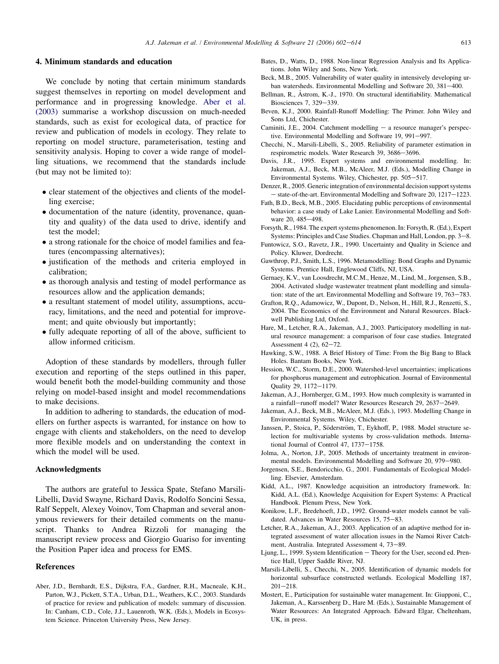## <span id="page-11-0"></span>4. Minimum standards and education

We conclude by noting that certain minimum standards suggest themselves in reporting on model development and performance and in progressing knowledge. Aber et al. (2003) summarise a workshop discussion on much-needed standards, such as exist for ecological data, of practice for review and publication of models in ecology. They relate to reporting on model structure, parameterisation, testing and sensitivity analysis. Hoping to cover a wide range of modelling situations, we recommend that the standards include (but may not be limited to):

- clear statement of the objectives and clients of the modelling exercise;
- documentation of the nature (identity, provenance, quantity and quality) of the data used to drive, identify and test the model;
- a strong rationale for the choice of model families and features (encompassing alternatives);
- justification of the methods and criteria employed in calibration;
- as thorough analysis and testing of model performance as resources allow and the application demands;
- a resultant statement of model utility, assumptions, accuracy, limitations, and the need and potential for improvement; and quite obviously but importantly;
- fully adequate reporting of all of the above, sufficient to allow informed criticism.

Adoption of these standards by modellers, through fuller execution and reporting of the steps outlined in this paper, would benefit both the model-building community and those relying on model-based insight and model recommendations to make decisions.

In addition to adhering to standards, the education of modellers on further aspects is warranted, for instance on how to engage with clients and stakeholders, on the need to develop more flexible models and on understanding the context in which the model will be used.

## Acknowledgments

The authors are grateful to Jessica Spate, Stefano Marsili-Libelli, David Swayne, Richard Davis, Rodolfo Soncini Sessa, Ralf Seppelt, Alexey Voinov, Tom Chapman and several anonymous reviewers for their detailed comments on the manuscript. Thanks to Andrea Rizzoli for managing the manuscript review process and Giorgio Guariso for inventing the Position Paper idea and process for EMS.

## References

Aber, J.D., Bernhardt, E.S., Dijkstra, F.A., Gardner, R.H., Macneale, K.H., Parton, W.J., Pickett, S.T.A., Urban, D.L., Weathers, K.C., 2003. Standards of practice for review and publication of models: summary of discussion. In: Canham, C.D., Cole, J.J., Lauenroth, W.K. (Eds.), Models in Ecosystem Science. Princeton University Press, New Jersey.

- Bates, D., Watts, D., 1988. Non-linear Regression Analysis and Its Applications. John Wiley and Sons, New York.
- Beck, M.B., 2005. Vulnerability of water quality in intensively developing urban watersheds. Environmental Modelling and Software  $20$ ,  $381-400$ .
- Bellman, R., Åstrom, K.-J., 1970. On structural identifiability. Mathematical Biosciences 7, 329-339.
- Beven, K.J., 2000. Rainfall-Runoff Modelling: The Primer. John Wiley and Sons Ltd, Chichester.
- Caminiti, J.E., 2004. Catchment modelling  $-$  a resource manager's perspective. Environmental Modelling and Software 19, 991-997.
- Checchi, N., Marsili-Libelli, S., 2005. Reliability of parameter estimation in respirometric models. Water Research 39, 3686-3696.
- Davis, J.R., 1995. Expert systems and environmental modelling. In: Jakeman, A.J., Beck, M.B., McAleer, M.J. (Eds.), Modelling Change in Environmental Systems. Wiley, Chichester, pp. 505-517.
- Denzer, R., 2005. Generic integration of environmental decision support systems - state-of-the-art. Environmental Modelling and Software 20, 1217-1223.
- Fath, B.D., Beck, M.B., 2005. Elucidating public perceptions of environmental behavior: a case study of Lake Lanier. Environmental Modelling and Software  $20, 485 - 498$ .
- Forsyth, R., 1984. The expert systems phenomenon. In: Forsyth, R. (Ed.), Expert Systems: Principles and Case Studies. Chapman and Hall, London, pp. 3-8.
- Funtowicz, S.O., Ravetz, J.R., 1990. Uncertainty and Quality in Science and Policy. Kluwer, Dordrecht.
- Gawthrop, P.J., Smith, L.S., 1996. Metamodelling: Bond Graphs and Dynamic Systems. Prentice Hall, Englewood Cliffs, NJ, USA.
- Gernaey, K.V., van Loosdrecht, M.C.M., Henze, M., Lind, M., Jorgensen, S.B., 2004. Activated sludge wastewater treatment plant modelling and simulation: state of the art. Environmental Modelling and Software  $19, 763-783$ .
- Grafton, R.Q., Adamowicz, W., Dupont, D., Nelson, H., Hill, R.J., Renzetti, S., 2004. The Economics of the Environment and Natural Resources. Blackwell Publishing Ltd, Oxford.
- Hare, M., Letcher, R.A., Jakeman, A.J., 2003. Participatory modelling in natural resource management: a comparison of four case studies. Integrated Assessment 4 (2),  $62 - 72$ .
- Hawking, S.W., 1988. A Brief History of Time: From the Big Bang to Black Holes. Bantam Books, New York.
- Hession, W.C., Storm, D.E., 2000. Watershed-level uncertainties; implications for phosphorus management and eutrophication. Journal of Environmental Quality 29, 1172-1179.
- Jakeman, A.J., Hornberger, G.M., 1993. How much complexity is warranted in a rainfall-runoff model? Water Resources Research 29, 2637-2649.
- Jakeman, A.J., Beck, M.B., McAleer, M.J. (Eds.), 1993. Modelling Change in Environmental Systems. Wiley, Chichester.
- Janssen, P., Stoica, P., Söderström, T., Eykhoff, P., 1988. Model structure selection for multivariable systems by cross-validation methods. International Journal of Control  $47, 1737-1758$ .
- Jolma, A., Norton, J.P., 2005. Methods of uncertainty treatment in environmental models. Environmental Modelling and Software 20, 979-980.
- Jorgensen, S.E., Bendoricchio, G., 2001. Fundamentals of Ecological Modelling. Elsevier, Amsterdam.
- Kidd, A.L., 1987. Knowledge acquisition an introductory framework. In: Kidd, A.L. (Ed.), Knowledge Acquisition for Expert Systems: A Practical Handbook. Plenum Press, New York.
- Konikow, L.F., Bredehoeft, J.D., 1992. Ground-water models cannot be validated. Advances in Water Resources 15, 75-83.
- Letcher, R.A., Jakeman, A.J., 2003. Application of an adaptive method for integrated assessment of water allocation issues in the Namoi River Catchment, Australia. Integrated Assessment 4, 73-89.
- Ljung, L., 1999. System Identification Theory for the User, second ed. Prentice Hall, Upper Saddle River, NJ.
- Marsili-Libelli, S., Checchi, N., 2005. Identification of dynamic models for horizontal subsurface constructed wetlands. Ecological Modelling 187,  $201 - 218$ .
- Mostert, E., Participation for sustainable water management. In: Giupponi, C., Jakeman, A., Karssenberg D., Hare M. (Eds.), Sustainable Management of Water Resources: An Integrated Approach. Edward Elgar, Cheltenham, UK, in press.